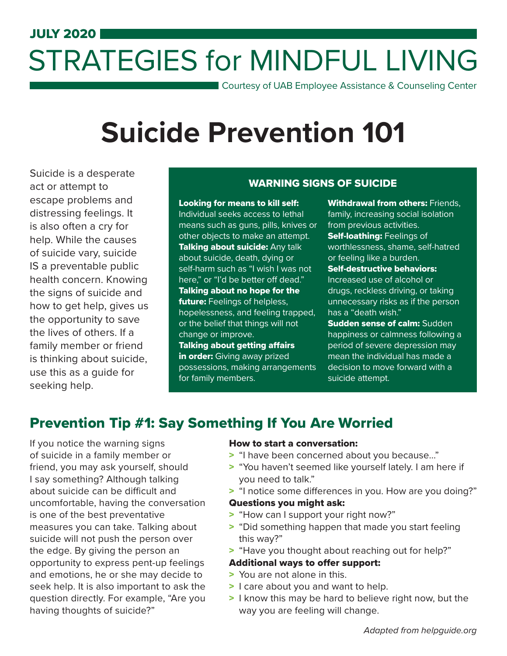## JULY 2020 STRATEGIES for MINDFUL LIVING

Courtesy of UAB Employee Assistance & Counseling Center

# **Suicide Prevention 101**

Suicide is a desperate act or attempt to escape problems and distressing feelings. It is also often a cry for help. While the causes of suicide vary, suicide IS a preventable public health concern. Knowing the signs of suicide and how to get help, gives us the opportunity to save the lives of others. If a family member or friend is thinking about suicide, use this as a guide for seeking help.

#### WARNING SIGNS OF SUICIDE

Looking for means to kill self: Individual seeks access to lethal means such as guns, pills, knives or other objects to make an attempt. Talking about suicide: Any talk about suicide, death, dying or self-harm such as "I wish I was not here," or "I'd be better off dead." Talking about no hope for the future: Feelings of helpless, hopelessness, and feeling trapped, or the belief that things will not change or improve. Talking about getting affairs in order: Giving away prized possessions, making arrangements

Withdrawal from others: Friends. family, increasing social isolation from previous activities. **Self-loathing: Feelings of** worthlessness, shame, self-hatred or feeling like a burden. Self-destructive behaviors: Increased use of alcohol or drugs, reckless driving, or taking unnecessary risks as if the person has a "death wish." **Sudden sense of calm: Sudden** happiness or calmness following a period of severe depression may

mean the individual has made a decision to move forward with a suicide attempt.

## Prevention Tip #1: Say Something If You Are Worried

for family members.

If you notice the warning signs of suicide in a family member or friend, you may ask yourself, should I say something? Although talking about suicide can be difficult and uncomfortable, having the conversation is one of the best preventative measures you can take. Talking about suicide will not push the person over the edge. By giving the person an opportunity to express pent-up feelings and emotions, he or she may decide to seek help. It is also important to ask the question directly. For example, "Are you having thoughts of suicide?"

#### How to start a conversation:

- > "I have been concerned about you because..."
- > "You haven't seemed like yourself lately. I am here if you need to talk."
- > "I notice some differences in you. How are you doing?"

#### Questions you might ask:

- "How can I support your right now?" >
- > "Did something happen that made you start feeling this way?"
- "Have you thought about reaching out for help?" >

#### Additional ways to offer support:

- > You are not alone in this.
- > I care about you and want to help.
- > I know this may be hard to believe right now, but the way you are feeling will change.